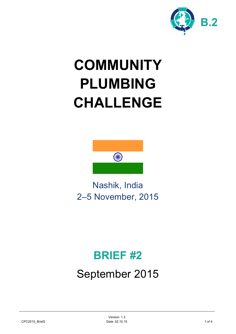

# **COMMUNITY PLUMBING CHALLENGE**



Nashik, India 2–5 November, 2015

# **BRIEF #2**

# September 2015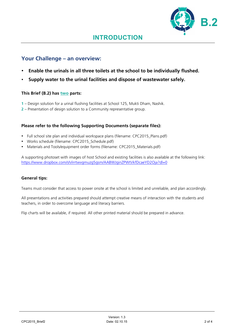

### **Your Challenge – an overview:**

- **Enable the urinals in all three toilets at the school to be individually flushed.**
- **Supply water to the urinal facilities and dispose of wastewater safely.**

#### **This Brief (B.2) has two parts:**

- **1** Design solution for a urinal flushing facilities at School 125, Mukti Dham, Nashik.
- **2** Presentation of design solution to a Community representative group.

#### **Please refer to the following Supporting Documents (separate files):**

- Full school site plan and individual workspace plans (filename: CPC2015\_Plans.pdf)
- Works schedule (filename: CPC2015 Schedule.pdf)
- Materials and Tools/equipment order forms (filename: CPC2015 Materials.pdf)

A supporting photoset with images of host School and existing facilities is also available at the following link: https://www.dropbox.com/sh/irrtwvgmuzg5gsm/AABWJginZPWtVkfDcaeYD2Oja?dl=0

#### **General tips:**

Teams must consider that access to power onsite at the school is limited and unreliable, and plan accordingly.

All presentations and activities prepared should attempt creative means of interaction with the students and teachers, in order to overcome language and literacy barriers.

Flip charts will be available, if required. All other printed material should be prepared in advance.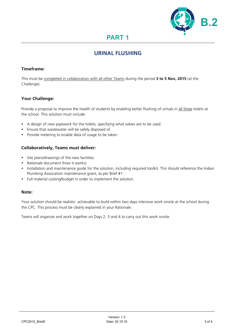

# **PART 1**

## **URINAL FLUSHING**

#### **Timeframe:**

This must be completed in collaboration with all other Teams during the period **3 to 5 Nov, 2015** (at the Challenge).

#### **Your Challenge:**

Provide a proposal to improve the health of students by enabling better flushing of urinals in all three toilets at the school. This solution must include:

- A design of new pipework for the toilets, specifying what valves are to be used.
- Ensure that wastewater will be safely disposed of.
- Provide metering to enable data of usage to be taken.

#### **Collaboratively, Teams must deliver:**

- Site plans/drawings of the new facilities.
- Rationale document (how it works).
- Installation and maintenance guide for the solution, including required toolkit. This should reference the Indian Plumbing Association maintenance grant, as per Brief #1.
- Full material costing/budget in order to implement the solution.

#### **Note:**

Your solution should be realistic: achievable to build within two days intensive work onsite at the school during the CPC. This process must be clearly explained in your Rationale.

Teams will organize and work together on Days 2, 3 and 4 to carry out this work onsite.